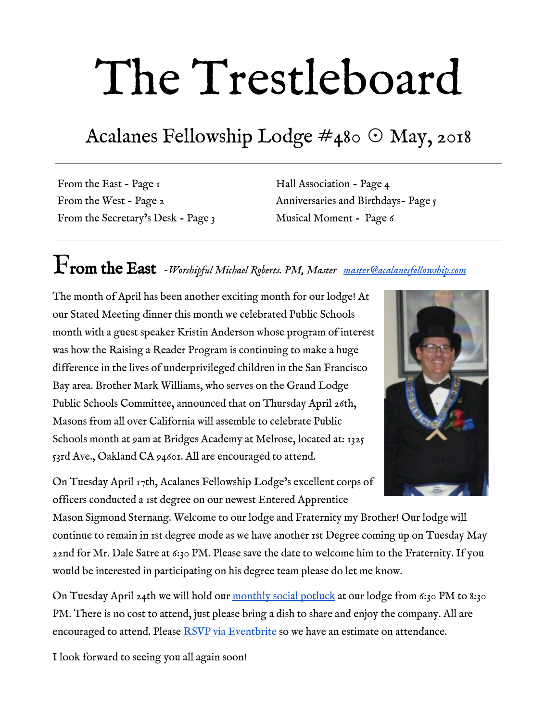# The Trestleboard

### Acalanes Fellowship Lodge  $\#$ 480  $\odot$  May, 2018

From the East - Page 1 From the West - Page 2 From the Secretary's Desk - Page 3

Hall Association - Page 4 Anniversaries and Birthdays- Page 5 Musical Moment - Page 6

# From the East *-Worshipful Michael Roberts. PM, Master [master@acalanesfellowship.com](mailto:master@acalanesfellowship.com)*

The month of April has been another exciting month for our lodge! At our Stated Meeting dinner this month we celebrated Public Schools month with a guest speaker Kristin Anderson whose program of interest was how the Raising a Reader Program is continuing to make a huge difference in the lives of underprivileged children in the San Francisco Bay area. Brother Mark Williams, who serves on the Grand Lodge Public Schools Committee, announced that on Thursday April 26th, Masons from all over California will assemble to celebrate Public Schools month at 9am at Bridges Academy at Melrose, located at: [1325](https://maps.google.com/?q=1325+53rd+Ave.,+Oakland+CA+94601&entry=gmail&source=g) [53rd Ave., Oakland CA 94601.](https://maps.google.com/?q=1325+53rd+Ave.,+Oakland+CA+94601&entry=gmail&source=g) All are encouraged to attend.

On Tuesday April 17th, Acalanes Fellowship Lodge's excellent corps of officers conducted a 1st degree on our newest Entered Apprentice

Mason Sigmond Sternang. Welcome to our lodge and Fraternity my Brother! Our lodge will continue to remain in 1st degree mode as we have another 1st Degree coming up on Tuesday May 22nd for Mr. Dale Satre at 6:30 PM. Please save the date to welcome him to the Fraternity. If you would be interested in participating on his degree team please do let me know.

On Tuesday April 24th we will hold our [monthly social potluck](https://www.eventbrite.com/e/april-potluck-social-registration-45329400457?ref=elink) at our lodge from 6:30 PM to 8:30 PM. There is no cost to attend, just please bring a dish to share and enjoy the company. All are encouraged to attend. Please [RSVP via Eventbrite](https://www.eventbrite.com/e/april-potluck-social-registration-45329400457?ref=elink) so we have an estimate on attendance.

I look forward to seeing you all again soon!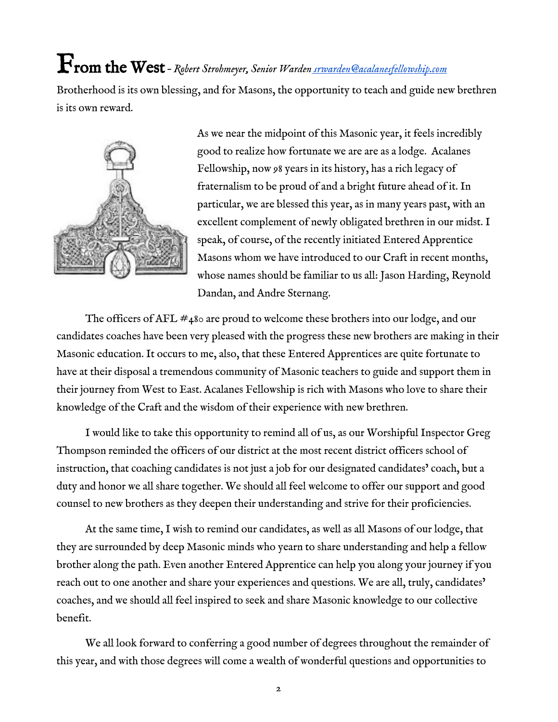# From the West *– Robert Strohmeyer, Senior Warden [srwarden@acalanesfellowship.com](mailto:srwarden@acalanesfellowship.com)*

Brotherhood is its own blessing, and for Masons, the opportunity to teach and guide new brethren is its own reward.



As we near the midpoint of this Masonic year, it feels incredibly good to realize how fortunate we are are as a lodge. Acalanes Fellowship, now 98 years in its history, has a rich legacy of fraternalism to be proud of and a bright future ahead of it. In particular, we are blessed this year, as in many years past, with an excellent complement of newly obligated brethren in our midst. I speak, of course, of the recently initiated Entered Apprentice Masons whom we have introduced to our Craft in recent months, whose names should be familiar to us all: Jason Harding, Reynold Dandan, and Andre Sternang.

The officers of AFL  $\#$ 480 are proud to welcome these brothers into our lodge, and our candidates coaches have been very pleased with the progress these new brothers are making in their Masonic education. It occurs to me, also, that these Entered Apprentices are quite fortunate to have at their disposal a tremendous community of Masonic teachers to guide and support them in their journey from West to East. Acalanes Fellowship is rich with Masons who love to share their knowledge of the Craft and the wisdom of their experience with new brethren.

I would like to take this opportunity to remind all of us, as our Worshipful Inspector Greg Thompson reminded the officers of our district at the most recent district officers school of instruction, that coaching candidates is not just a job for our designated candidates' coach, but a duty and honor we all share together. We should all feel welcome to offer our support and good counsel to new brothers as they deepen their understanding and strive for their proficiencies.

At the same time, I wish to remind our candidates, as well as all Masons of our lodge, that they are surrounded by deep Masonic minds who yearn to share understanding and help a fellow brother along the path. Even another Entered Apprentice can help you along your journey if you reach out to one another and share your experiences and questions. We are all, truly, candidates' coaches, and we should all feel inspired to seek and share Masonic knowledge to our collective benefit.

We all look forward to conferring a good number of degrees throughout the remainder of this year, and with those degrees will come a wealth of wonderful questions and opportunities to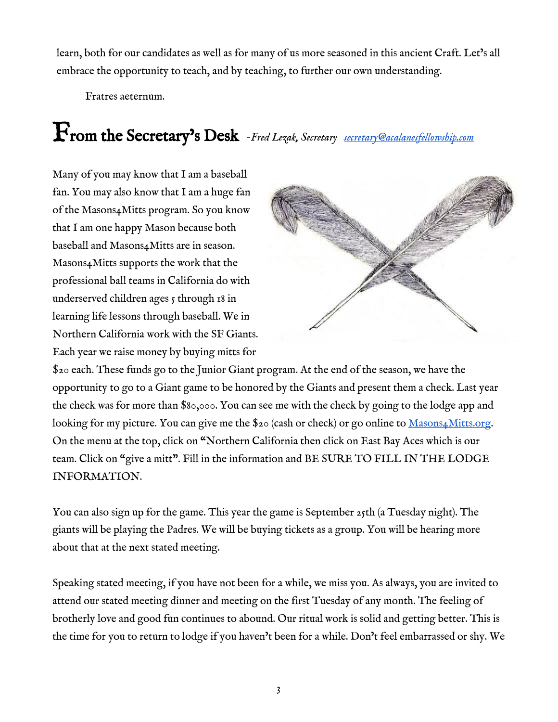learn, both for our candidates as well as for many of us more seasoned in this ancient Craft. Let's all embrace the opportunity to teach, and by teaching, to further our own understanding.

Fratres aeternum.

# From the Secretary's Desk *-Fred Lezak, Secretary [secretary@acalanesfellowship.com](mailto:secretary@acalanesfellowship.com)*

Many of you may know that I am a baseball fan. You may also know that I am a huge fan of the Masons4Mitts program. So you know that I am one happy Mason because both baseball and Masons4Mitts are in season. Masons4Mitts supports the work that the professional ball teams in California do with underserved children ages 5 through 18 in learning life lessons through baseball. We in Northern California work with the SF Giants. Each year we raise money by buying mitts for



\$20 each. These funds go to the Junior Giant program. At the end of the season, we have the opportunity to go to a Giant game to be honored by the Giants and present them a check. Last year the check was for more than \$80,000. You can see me with the check by going to the lodge app and looking for my picture. You can give me the \$20 (cash or check) or go online to [Masons4Mitts.org.](http://masons4mitts.org/) On the menu at the top, click on "Northern California then click on East Bay Aces which is our team. Click on "give a mitt". Fill in the information and BE SURE TO FILL IN THE LODGE INFORMATION.

You can also sign up for the game. This year the game is September 25th (a Tuesday night). The giants will be playing the Padres. We will be buying tickets as a group. You will be hearing more about that at the next stated meeting.

Speaking stated meeting, if you have not been for a while, we miss you. As always, you are invited to attend our stated meeting dinner and meeting on the first Tuesday of any month. The feeling of brotherly love and good fun continues to abound. Our ritual work is solid and getting better. This is the time for you to return to lodge if you haven't been for a while. Don't feel embarrassed or shy. We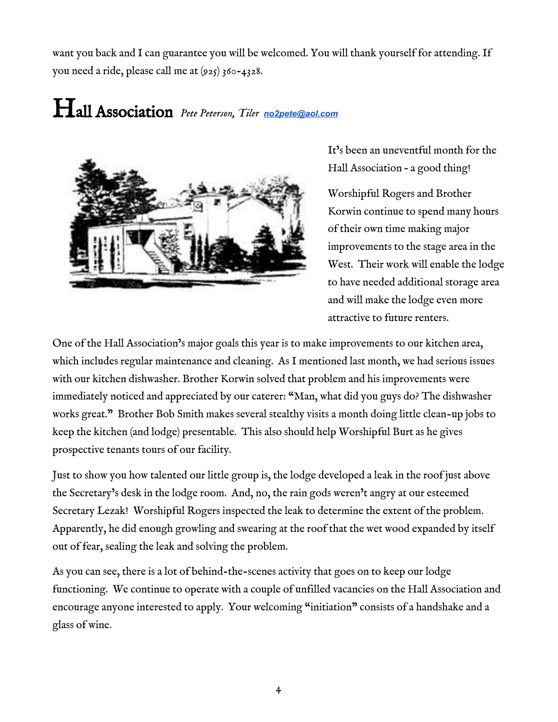want you back and I can guarantee you will be welcomed. You will thank yourself for attending. If you need a ride, please call me at  $(925)$  360-4328.

## Hall Association *Pete Peterson, Tiler [no2pete@aol.com](mailto:no2pete@aol.com)*



It's been an uneventful month for the Hall Association – a good thing!

Worshipful Rogers and Brother Korwin continue to spend many hours of their own time making major improvements to the stage area in the West. Their work will enable the lodge to have needed additional storage area and will make the lodge even more attractive to future renters.

One of the Hall Association's major goals this year is to make improvements to our kitchen area, which includes regular maintenance and cleaning. As I mentioned last month, we had serious issues with our kitchen dishwasher. Brother Korwin solved that problem and his improvements were immediately noticed and appreciated by our caterer: "Man, what did you guys do? The dishwasher works great." Brother Bob Smith makes several stealthy visits a month doing little clean-up jobs to keep the kitchen (and lodge) presentable. This also should help Worshipful Burt as he gives prospective tenants tours of our facility.

Just to show you how talented our little group is, the lodge developed a leak in the roof just above the Secretary's desk in the lodge room. And, no, the rain gods weren't angry at our esteemed Secretary Lezak! Worshipful Rogers inspected the leak to determine the extent of the problem. Apparently, he did enough growling and swearing at the roof that the wet wood expanded by itself out of fear, sealing the leak and solving the problem.

As you can see, there is a lot of behind-the-scenes activity that goes on to keep our lodge functioning. We continue to operate with a couple of unfilled vacancies on the Hall Association and encourage anyone interested to apply. Your welcoming "initiation" consists of a handshake and a glass of wine.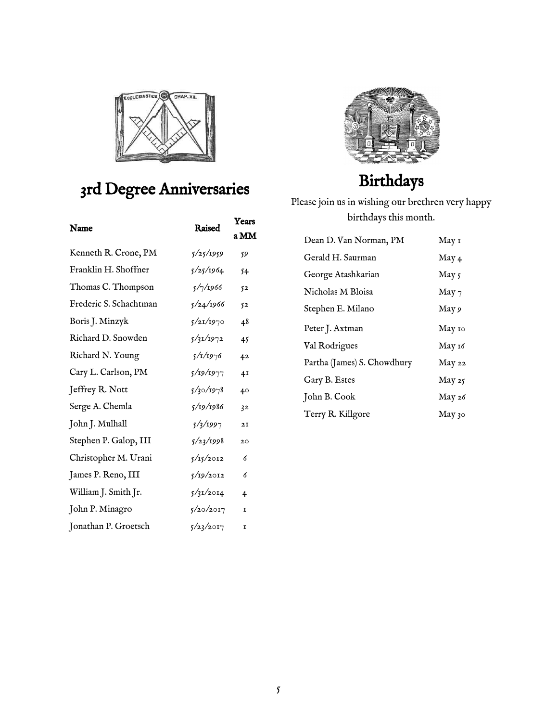

### 3rd Degree Anniversaries

| Name                   | Raised    | Years<br>a MM  |
|------------------------|-----------|----------------|
| Kenneth R. Crone, PM   | 5/25/1959 | 59             |
| Franklin H. Shoffner   | 5/25/1964 | 54             |
| Thomas C. Thompson     | 5/7/1966  | 52             |
| Frederic S. Schachtman | 5/24/1966 | 52             |
| Boris J. Minzyk        | 5/21/1970 | 48             |
| Richard D. Snowden     | 5/31/1972 | 45             |
| Richard N. Young       | 5/1/1976  | 42             |
| Cary L. Carlson, PM    | 5/19/1977 | 4I             |
| Jeffrey R. Nott        | 5/30/1978 | 40             |
| Serge A. Chemla        | 5/19/1986 | 32             |
| John J. Mulhall        | 5/2/1997  | 2I             |
| Stephen P. Galop, III  | 5/23/1998 | 20             |
| Christopher M. Urani   | 5/15/2012 | 6              |
| James P. Reno, III     | 5/19/2012 | 6              |
| William J. Smith Jr.   | 5/31/2014 | $\overline{4}$ |
| John P. Minagro        | 5/20/2017 | 1              |
| Jonathan P. Groetsch   | 5/23/2017 | I              |



### Birthdays

Please join us in wishing our brethren very happy birthdays this month.

| May 1    |
|----------|
| May 4    |
| May 5    |
| May 7    |
| May 9    |
| May 10   |
| May 16   |
| May 22   |
| May 25   |
| May 26   |
| May $30$ |
|          |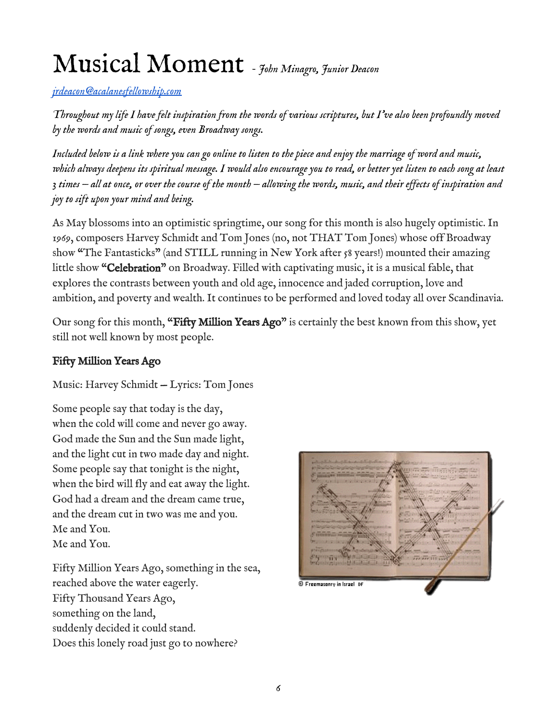# Musical Moment *- John Minagro, Junior Deacon*

*[jrdeacon@acalanesfellowship.com](mailto:jrdeacon@acalanesfellowship.com)*

*Throughout my life I have felt inspiration from the words of various scriptures, but I've also been profoundly moved by the words and music of songs, even Broadway songs.*

*Included below is a link where you can go online to listen to the piece and enjoy the marriage of word and music, which always deepens its spiritual message. I would also encourage you to read, or better yet listen to each song at least 3 times — all at once, or over the course of the month — allowing the words, music, and their effects of inspiration and joy to sift upon your mind and being.*

As May blossoms into an optimistic springtime, our song for this month is also hugely optimistic. In 1969, composers Harvey Schmidt and Tom Jones (no, not THAT Tom Jones) whose off Broadway show "The Fantasticks" (and STILL running in New York after 58 years!) mounted their amazing little show "Celebration" on Broadway. Filled with captivating music, it is a musical fable, that explores the contrasts between youth and old age, innocence and jaded corruption, love and ambition, and poverty and wealth. It continues to be performed and loved today all over Scandinavia.

Our song for this month, "Fifty Million Years Ago" is certainly the best known from this show, yet still not well known by most people.

#### Fifty Million Years Ago

Music: Harvey Schmidt — Lyrics: Tom Jones

Some people say that today is the day, when the cold will come and never go away. God made the Sun and the Sun made light, and the light cut in two made day and night. Some people say that tonight is the night, when the bird will fly and eat away the light. God had a dream and the dream came true, and the dream cut in two was me and you. Me and You. Me and You.

Fifty Million Years Ago, something in the sea, reached above the water eagerly. Fifty Thousand Years Ago, something on the land, suddenly decided it could stand. Does this lonely road just go to nowhere?

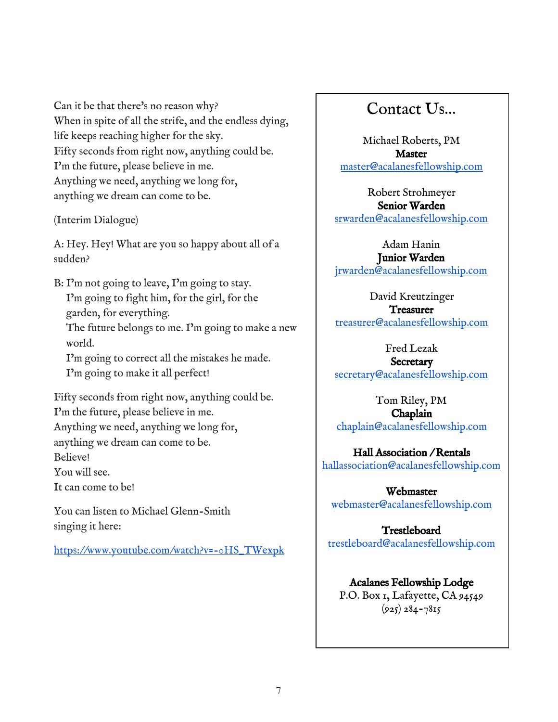Can it be that there's no reason why? When in spite of all the strife, and the endless dying, life keeps reaching higher for the sky. Fifty seconds from right now, anything could be. I'm the future, please believe in me. Anything we need, anything we long for, anything we dream can come to be.

(Interim Dialogue)

A: Hey. Hey! What are you so happy about all of a sudden?

B: I'm not going to leave, I'm going to stay. I'm going to fight him, for the girl, for the garden, for everything. The future belongs to me. I'm going to make a new world. I'm going to correct all the mistakes he made.

I'm going to make it all perfect!

Fifty seconds from right now, anything could be. I'm the future, please believe in me.

Anything we need, anything we long for,

anything we dream can come to be.

Believe!

You will see.

It can come to be!

You can listen to Michael Glenn-Smith singing it here:

[https://www.youtube.com/watch?v=-0HS\\_TWexpk](https://www.youtube.com/watch?v=-0HS_TWexpk)

#### Contact Us…

Michael Roberts, PM Master [master@acalanesfellowship.com](mailto:master@acalanesfellowship.com)

Robert Strohmeyer Senior Warden [srwarden@acalanesfellowship.com](mailto:srwarden@acalanesfellowship.com)

Adam Hanin Junior Warden [jrwarden@acalanesfellowship.com](mailto:jrwarden@acalanesfellowship.com)

David Kreutzinger **Treasurer** [treasurer@acalanesfellowship.com](mailto:treasurer@acalanesfellowship.com)

Fred Lezak

**Secretary** [secretary@acalanesfellowship.com](mailto:secretary@acalanesfellowship.com)

Tom Riley, PM Chaplain [chaplain@acalanesfellowship.com](mailto:chaplain@acalanesfellowship.com)

Hall Association / Rentals [hallassociation@acalanesfellowship.com](mailto:hallassociation@acalanesfellowship.com)

Webmaster [webmaster@acalanesfellowship.com](mailto:webmaster@acalanesfellowship.com)

Trestleboard [trestleboard@acalanesfellowship.com](mailto:trestleboard@acalanesfellowship.com)

#### Acalanes Fellowship Lodge P.O. Box 1, Lafayette, CA 94549

 $(925) 284 - 7815$